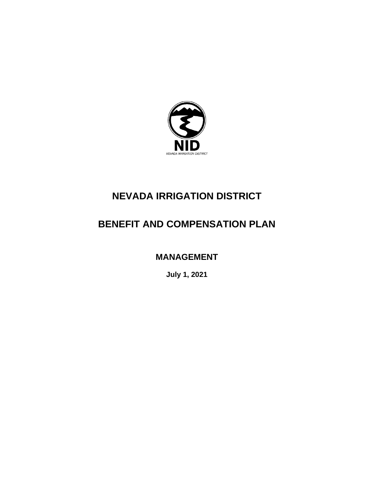

## **NEVADA IRRIGATION DISTRICT**

# **BENEFIT AND COMPENSATION PLAN**

**MANAGEMENT** 

**July 1, 2021**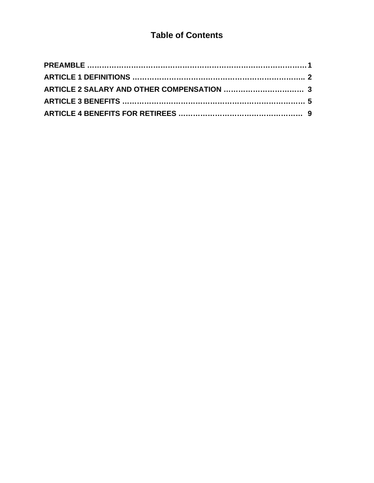### **Table of Contents**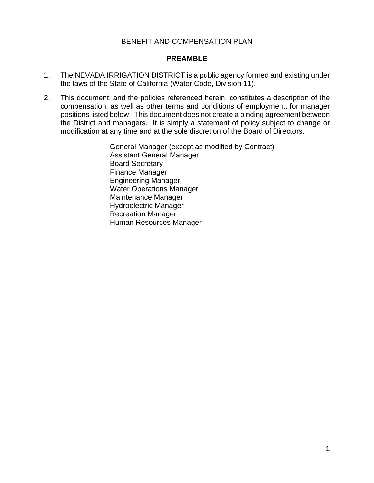#### BENEFIT AND COMPENSATION PLAN

#### **PREAMBLE**

- 1. The NEVADA IRRIGATION DISTRICT is a public agency formed and existing under the laws of the State of California (Water Code, Division 11).
- 2. This document, and the policies referenced herein, constitutes a description of the compensation, as well as other terms and conditions of employment, for manager positions listed below. This document does not create a binding agreement between the District and managers. It is simply a statement of policy subject to change or modification at any time and at the sole discretion of the Board of Directors.

General Manager (except as modified by Contract) Assistant General Manager Board Secretary Finance Manager Engineering Manager Water Operations Manager Maintenance Manager Hydroelectric Manager Recreation Manager Human Resources Manager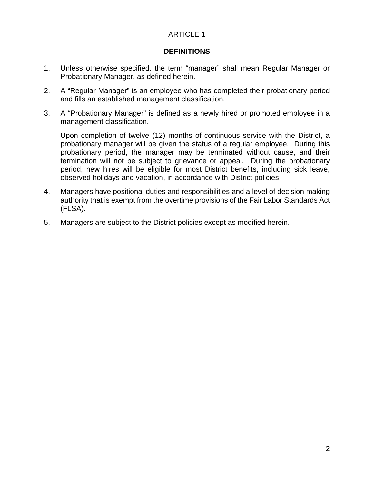#### **DEFINITIONS**

- 1. Unless otherwise specified, the term "manager" shall mean Regular Manager or Probationary Manager, as defined herein.
- 2. A "Regular Manager" is an employee who has completed their probationary period and fills an established management classification.
- 3. A "Probationary Manager" is defined as a newly hired or promoted employee in a management classification.

Upon completion of twelve (12) months of continuous service with the District, a probationary manager will be given the status of a regular employee. During this probationary period, the manager may be terminated without cause, and their termination will not be subject to grievance or appeal. During the probationary period, new hires will be eligible for most District benefits, including sick leave, observed holidays and vacation, in accordance with District policies.

- 4. Managers have positional duties and responsibilities and a level of decision making authority that is [exempt](http://humanresources.about.com/od/glossaryf/a/flsa.htm) from the overtime provisions of the Fair Labor Standards Act (FLSA).
- 5. Managers are subject to the District policies except as modified herein.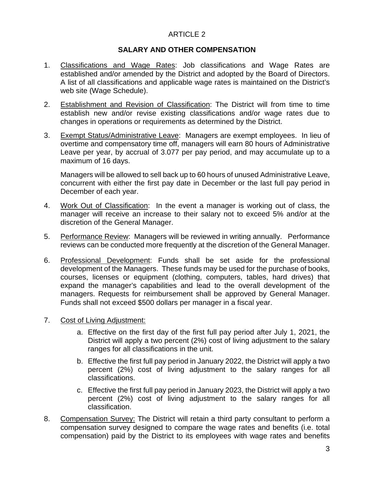#### **SALARY AND OTHER COMPENSATION**

- 1. Classifications and Wage Rates: Job classifications and Wage Rates are established and/or amended by the District and adopted by the Board of Directors. A list of all classifications and applicable wage rates is maintained on the District's web site (Wage Schedule).
- 2. Establishment and Revision of Classification: The District will from time to time establish new and/or revise existing classifications and/or wage rates due to changes in operations or requirements as determined by the District.
- 3. Exempt Status/Administrative Leave: Managers are exempt employees. In lieu of overtime and compensatory time off, managers will earn 80 hours of Administrative Leave per year, by accrual of 3.077 per pay period, and may accumulate up to a maximum of 16 days.

Managers will be allowed to sell back up to 60 hours of unused Administrative Leave, concurrent with either the first pay date in December or the last full pay period in December of each year.

- 4. Work Out of Classification: In the event a manager is working out of class, the manager will receive an increase to their salary not to exceed 5% and/or at the discretion of the General Manager.
- 5. Performance Review: Managers will be reviewed in writing annually. Performance reviews can be conducted more frequently at the discretion of the General Manager.
- 6. Professional Development: Funds shall be set aside for the professional development of the Managers. These funds may be used for the purchase of books, courses, licenses or equipment (clothing, computers, tables, hard drives) that expand the manager's capabilities and lead to the overall development of the managers. Requests for reimbursement shall be approved by General Manager. Funds shall not exceed \$500 dollars per manager in a fiscal year.
- 7. Cost of Living Adjustment:
	- a. Effective on the first day of the first full pay period after July 1, 2021, the District will apply a two percent (2%) cost of living adjustment to the salary ranges for all classifications in the unit.
	- b. Effective the first full pay period in January 2022, the District will apply a two percent (2%) cost of living adjustment to the salary ranges for all classifications.
	- c. Effective the first full pay period in January 2023, the District will apply a two percent (2%) cost of living adjustment to the salary ranges for all classification.
- 8. Compensation Survey: The District will retain a third party consultant to perform a compensation survey designed to compare the wage rates and benefits (i.e. total compensation) paid by the District to its employees with wage rates and benefits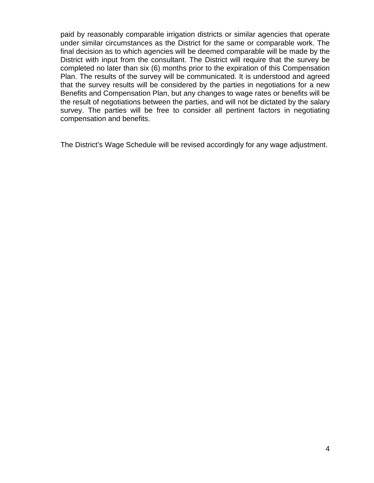paid by reasonably comparable irrigation districts or similar agencies that operate under similar circumstances as the District for the same or comparable work. The final decision as to which agencies will be deemed comparable will be made by the District with input from the consultant. The District will require that the survey be completed no later than six (6) months prior to the expiration of this Compensation Plan. The results of the survey will be communicated. It is understood and agreed that the survey results will be considered by the parties in negotiations for a new Benefits and Compensation Plan, but any changes to wage rates or benefits will be the result of negotiations between the parties, and will not be dictated by the salary survey. The parties will be free to consider all pertinent factors in negotiating compensation and benefits.

The District's Wage Schedule will be revised accordingly for any wage adjustment.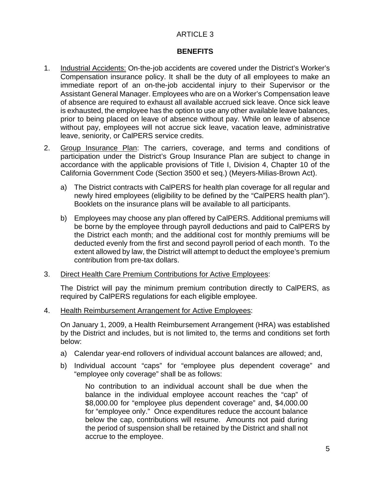#### **BENEFITS**

- 1. Industrial Accidents: On-the-job accidents are covered under the District's Worker's Compensation insurance policy. It shall be the duty of all employees to make an immediate report of an on-the-job accidental injury to their Supervisor or the Assistant General Manager. Employees who are on a Worker's Compensation leave of absence are required to exhaust all available accrued sick leave. Once sick leave is exhausted, the employee has the option to use any other available leave balances, prior to being placed on leave of absence without pay. While on leave of absence without pay, employees will not accrue sick leave, vacation leave, administrative leave, seniority, or CalPERS service credits.
- 2. Group Insurance Plan: The carriers, coverage, and terms and conditions of participation under the District's Group Insurance Plan are subject to change in accordance with the applicable provisions of Title I, Division 4, Chapter 10 of the California Government Code (Section 3500 et seq.) (Meyers-Milias-Brown Act).
	- a) The District contracts with CalPERS for health plan coverage for all regular and newly hired employees (eligibility to be defined by the "CalPERS health plan"). Booklets on the insurance plans will be available to all participants.
	- b) Employees may choose any plan offered by CalPERS. Additional premiums will be borne by the employee through payroll deductions and paid to CalPERS by the District each month; and the additional cost for monthly premiums will be deducted evenly from the first and second payroll period of each month. To the extent allowed by law, the District will attempt to deduct the employee's premium contribution from pre-tax dollars.
- 3. Direct Health Care Premium Contributions for Active Employees:

The District will pay the minimum premium contribution directly to CalPERS, as required by CalPERS regulations for each eligible employee.

4. Health Reimbursement Arrangement for Active Employees:

On January 1, 2009, a Health Reimbursement Arrangement (HRA) was established by the District and includes, but is not limited to, the terms and conditions set forth below:

- a) Calendar year-end rollovers of individual account balances are allowed; and,
- b) Individual account "caps" for "employee plus dependent coverage" and "employee only coverage" shall be as follows:

No contribution to an individual account shall be due when the balance in the individual employee account reaches the "cap" of \$8,000.00 for "employee plus dependent coverage" and, \$4,000.00 for "employee only." Once expenditures reduce the account balance below the cap, contributions will resume. Amounts not paid during the period of suspension shall be retained by the District and shall not accrue to the employee.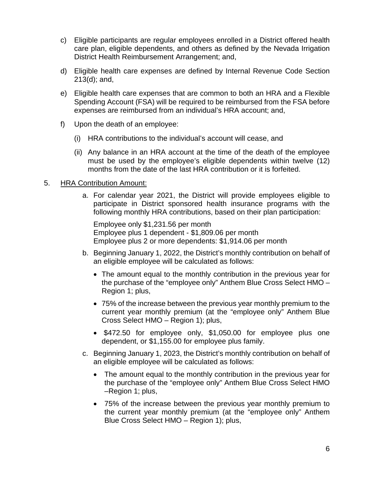- c) Eligible participants are regular employees enrolled in a District offered health care plan, eligible dependents, and others as defined by the Nevada Irrigation District Health Reimbursement Arrangement; and,
- d) Eligible health care expenses are defined by Internal Revenue Code Section 213(d); and,
- e) Eligible health care expenses that are common to both an HRA and a Flexible Spending Account (FSA) will be required to be reimbursed from the FSA before expenses are reimbursed from an individual's HRA account; and,
- f) Upon the death of an employee:
	- (i) HRA contributions to the individual's account will cease, and
	- (ii) Any balance in an HRA account at the time of the death of the employee must be used by the employee's eligible dependents within twelve (12) months from the date of the last HRA contribution or it is forfeited.

#### 5. HRA Contribution Amount:

a. For calendar year 2021, the District will provide employees eligible to participate in District sponsored health insurance programs with the following monthly HRA contributions, based on their plan participation:

Employee only \$1,231.56 per month Employee plus 1 dependent - \$1,809.06 per month Employee plus 2 or more dependents: \$1,914.06 per month

- b. Beginning January 1, 2022, the District's monthly contribution on behalf of an eligible employee will be calculated as follows:
	- The amount equal to the monthly contribution in the previous year for the purchase of the "employee only" Anthem Blue Cross Select HMO – Region 1; plus,
	- 75% of the increase between the previous year monthly premium to the current year monthly premium (at the "employee only" Anthem Blue Cross Select HMO – Region 1); plus,
	- \$472.50 for employee only, \$1,050.00 for employee plus one dependent, or \$1,155.00 for employee plus family.
- c. Beginning January 1, 2023, the District's monthly contribution on behalf of an eligible employee will be calculated as follows:
	- The amount equal to the monthly contribution in the previous year for the purchase of the "employee only" Anthem Blue Cross Select HMO –Region 1; plus,
	- 75% of the increase between the previous year monthly premium to the current year monthly premium (at the "employee only" Anthem Blue Cross Select HMO – Region 1); plus,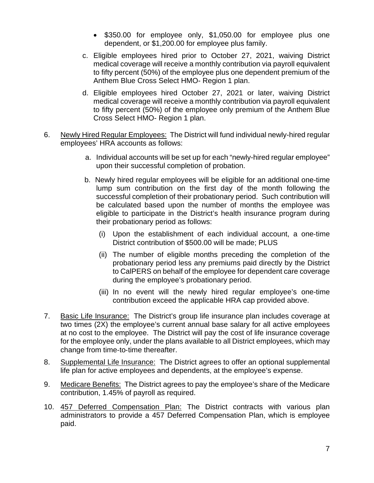- \$350.00 for employee only, \$1,050.00 for employee plus one dependent, or \$1,200.00 for employee plus family.
- c. Eligible employees hired prior to October 27, 2021, waiving District medical coverage will receive a monthly contribution via payroll equivalent to fifty percent (50%) of the employee plus one dependent premium of the Anthem Blue Cross Select HMO- Region 1 plan.
- d. Eligible employees hired October 27, 2021 or later, waiving District medical coverage will receive a monthly contribution via payroll equivalent to fifty percent (50%) of the employee only premium of the Anthem Blue Cross Select HMO- Region 1 plan.
- 6. Newly Hired Regular Employees: The District will fund individual newly-hired regular employees' HRA accounts as follows:
	- a. Individual accounts will be set up for each "newly-hired regular employee" upon their successful completion of probation.
	- b. Newly hired regular employees will be eligible for an additional one-time lump sum contribution on the first day of the month following the successful completion of their probationary period. Such contribution will be calculated based upon the number of months the employee was eligible to participate in the District's health insurance program during their probationary period as follows:
		- (i) Upon the establishment of each individual account, a one‐time District contribution of \$500.00 will be made; PLUS
		- (ii) The number of eligible months preceding the completion of the probationary period less any premiums paid directly by the District to CalPERS on behalf of the employee for dependent care coverage during the employee's probationary period.
		- (iii) In no event will the newly hired regular employee's one-time contribution exceed the applicable HRA cap provided above.
- 7. Basic Life Insurance: The District's group life insurance plan includes coverage at two times (2X) the employee's current annual base salary for all active employees at no cost to the employee. The District will pay the cost of life insurance coverage for the employee only, under the plans available to all District employees, which may change from time‐to‐time thereafter.
- 8. Supplemental Life Insurance: The District agrees to offer an optional supplemental life plan for active employees and dependents, at the employee's expense.
- 9. Medicare Benefits: The District agrees to pay the employee's share of the Medicare contribution, 1.45% of payroll as required.
- 10. 457 Deferred Compensation Plan: The District contracts with various plan administrators to provide a 457 Deferred Compensation Plan, which is employee paid.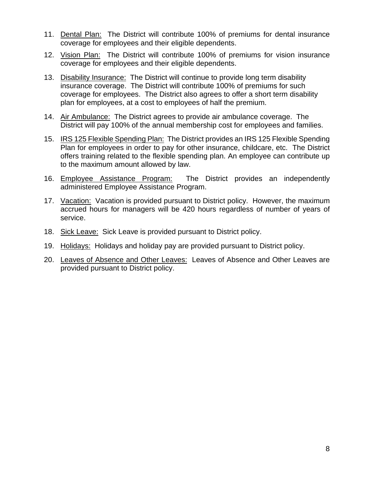- 11. Dental Plan: The District will contribute 100% of premiums for dental insurance coverage for employees and their eligible dependents.
- 12. Vision Plan: The District will contribute 100% of premiums for vision insurance coverage for employees and their eligible dependents.
- 13. Disability Insurance: The District will continue to provide long term disability insurance coverage. The District will contribute 100% of premiums for such coverage for employees. The District also agrees to offer a short term disability plan for employees, at a cost to employees of half the premium.
- 14. Air Ambulance: The District agrees to provide air ambulance coverage. The District will pay 100% of the annual membership cost for employees and families.
- 15. IRS 125 Flexible Spending Plan: The District provides an IRS 125 Flexible Spending Plan for employees in order to pay for other insurance, childcare, etc. The District offers training related to the flexible spending plan. An employee can contribute up to the maximum amount allowed by law.
- 16. Employee Assistance Program: The District provides an independently administered Employee Assistance Program.
- 17. Vacation: Vacation is provided pursuant to District policy. However, the maximum accrued hours for managers will be 420 hours regardless of number of years of service.
- 18. Sick Leave: Sick Leave is provided pursuant to District policy.
- 19. Holidays: Holidays and holiday pay are provided pursuant to District policy.
- 20. Leaves of Absence and Other Leaves: Leaves of Absence and Other Leaves are provided pursuant to District policy.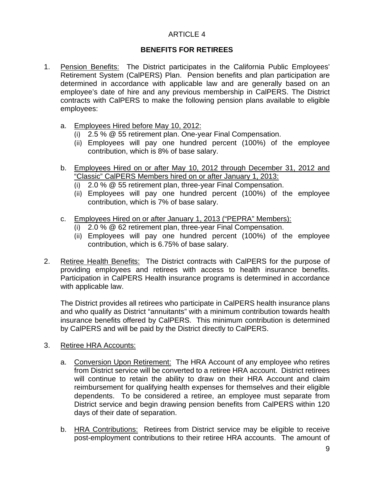### **BENEFITS FOR RETIREES**

- 1. Pension Benefits: The District participates in the California Public Employees' Retirement System (CalPERS) Plan. Pension benefits and plan participation are determined in accordance with applicable law and are generally based on an employee's date of hire and any previous membership in CalPERS. The District contracts with CalPERS to make the following pension plans available to eligible employees:
	- a. Employees Hired before May 10, 2012:
		- (i) 2.5 % @ 55 retirement plan. One‐year Final Compensation.
		- (ii) Employees will pay one hundred percent (100%) of the employee contribution, which is 8% of base salary.
	- b. Employees Hired on or after May 10, 2012 through December 31, 2012 and "Classic" CalPERS Members hired on or after January 1, 2013:
		- (i) 2.0 % @ 55 retirement plan, three‐year Final Compensation.
		- (ii) Employees will pay one hundred percent (100%) of the employee contribution, which is 7% of base salary.
	- c. Employees Hired on or after January 1, 2013 ("PEPRA" Members):
		- (i) 2.0 % @ 62 retirement plan, three‐year Final Compensation.
		- (ii) Employees will pay one hundred percent (100%) of the employee contribution, which is 6.75% of base salary.
- 2. Retiree Health Benefits: The District contracts with CalPERS for the purpose of providing employees and retirees with access to health insurance benefits. Participation in CalPERS Health insurance programs is determined in accordance with applicable law.

The District provides all retirees who participate in CalPERS health insurance plans and who qualify as District "annuitants" with a minimum contribution towards health insurance benefits offered by CalPERS. This minimum contribution is determined by CalPERS and will be paid by the District directly to CalPERS.

- 3. Retiree HRA Accounts:
	- a. Conversion Upon Retirement: The HRA Account of any employee who retires from District service will be converted to a retiree HRA account. District retirees will continue to retain the ability to draw on their HRA Account and claim reimbursement for qualifying health expenses for themselves and their eligible dependents. To be considered a retiree, an employee must separate from District service and begin drawing pension benefits from CalPERS within 120 days of their date of separation.
	- b. HRA Contributions: Retirees from District service may be eligible to receive post-employment contributions to their retiree HRA accounts. The amount of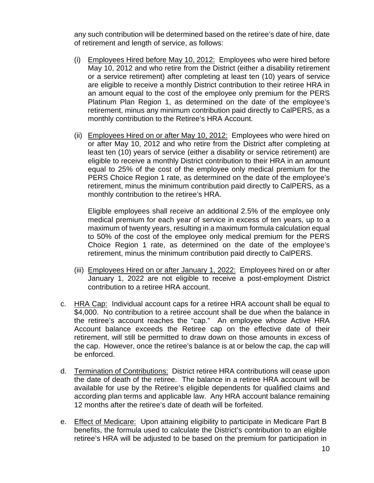any such contribution will be determined based on the retiree's date of hire, date of retirement and length of service, as follows:

- (i) Employees Hired before May 10, 2012: Employees who were hired before May 10, 2012 and who retire from the District (either a disability retirement or a service retirement) after completing at least ten (10) years of service are eligible to receive a monthly District contribution to their retiree HRA in an amount equal to the cost of the employee only premium for the PERS Platinum Plan Region 1, as determined on the date of the employee's retirement, minus any minimum contribution paid directly to CalPERS, as a monthly contribution to the Retiree's HRA Account.
- (ii) Employees Hired on or after May 10, 2012: Employees who were hired on or after May 10, 2012 and who retire from the District after completing at least ten (10) years of service (either a disability or service retirement) are eligible to receive a monthly District contribution to their HRA in an amount equal to 25% of the cost of the employee only medical premium for the PERS Choice Region 1 rate, as determined on the date of the employee's retirement, minus the minimum contribution paid directly to CalPERS, as a monthly contribution to the retiree's HRA.

Eligible employees shall receive an additional 2.5% of the employee only medical premium for each year of service in excess of ten years, up to a maximum of twenty years, resulting in a maximum formula calculation equal to 50% of the cost of the employee only medical premium for the PERS Choice Region 1 rate, as determined on the date of the employee's retirement, minus the minimum contribution paid directly to CalPERS.

- (iii) Employees Hired on or after January 1, 2022: Employees hired on or after January 1, 2022 are not eligible to receive a post-employment District contribution to a retiree HRA account.
- c. HRA Cap: Individual account caps for a retiree HRA account shall be equal to \$4,000. No contribution to a retiree account shall be due when the balance in the retiree's account reaches the "cap." An employee whose Active HRA Account balance exceeds the Retiree cap on the effective date of their retirement, will still be permitted to draw down on those amounts in excess of the cap. However, once the retiree's balance is at or below the cap, the cap will be enforced.
- d. Termination of Contributions: District retiree HRA contributions will cease upon the date of death of the retiree. The balance in a retiree HRA account will be available for use by the Retiree's eligible dependents for qualified claims and according plan terms and applicable law. Any HRA account balance remaining 12 months after the retiree's date of death will be forfeited.
- e. Effect of Medicare: Upon attaining eligibility to participate in Medicare Part B benefits, the formula used to calculate the District's contribution to an eligible retiree's HRA will be adjusted to be based on the premium for participation in